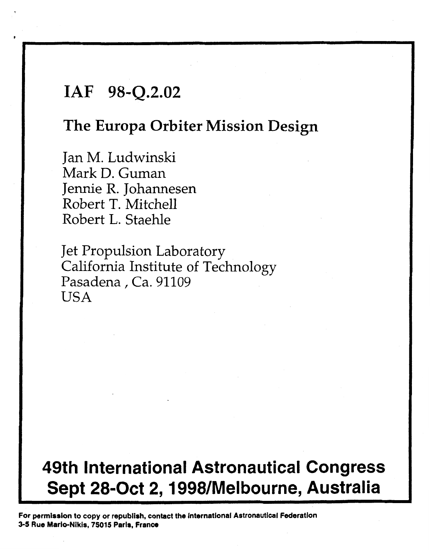# **IAF 98-Q.2.02**

# **The Europa Orbiter Mission Design**

Jan M. Ludwinski Mark D. Guman Jennie R. Johannesen Robert T. Mitchell Robert L. Staehle

Jet Propulsion Laboratory California Institute of Technology Pasadena, Ca. 91109 **I** ISA

# **49th International Astronautical Congress Sept 28-0ct 2,1998/Melbourne, Australia**

**For permission to copy or republish, contact tho International Astronautical Federation 3-5 Rue Mario-Nikis, 75015 Paria, France**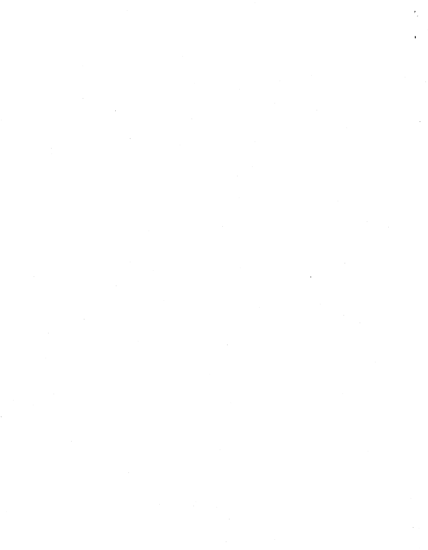$\mathcal{A}^{\mathcal{A}}$ 

 $\label{eq:2.1} \frac{1}{\sqrt{2}}\sum_{i=1}^n\frac{1}{\sqrt{2}}\sum_{i=1}^n\frac{1}{\sqrt{2}}\sum_{i=1}^n\frac{1}{\sqrt{2}}\sum_{i=1}^n\frac{1}{\sqrt{2}}\sum_{i=1}^n\frac{1}{\sqrt{2}}\sum_{i=1}^n\frac{1}{\sqrt{2}}\sum_{i=1}^n\frac{1}{\sqrt{2}}\sum_{i=1}^n\frac{1}{\sqrt{2}}\sum_{i=1}^n\frac{1}{\sqrt{2}}\sum_{i=1}^n\frac{1}{\sqrt{2}}\sum_{i=1}^n\frac$ 

 $\label{eq:2.1} \frac{1}{\sqrt{2}}\sum_{i=1}^n\frac{1}{\sqrt{2}}\sum_{i=1}^n\frac{1}{\sqrt{2}}\sum_{i=1}^n\frac{1}{\sqrt{2}}\sum_{i=1}^n\frac{1}{\sqrt{2}}\sum_{i=1}^n\frac{1}{\sqrt{2}}\sum_{i=1}^n\frac{1}{\sqrt{2}}\sum_{i=1}^n\frac{1}{\sqrt{2}}\sum_{i=1}^n\frac{1}{\sqrt{2}}\sum_{i=1}^n\frac{1}{\sqrt{2}}\sum_{i=1}^n\frac{1}{\sqrt{2}}\sum_{i=1}^n\frac$  $\mathcal{A}^{(1)}$ 

 $\label{eq:2.1} \frac{1}{\sqrt{2}}\int_{\mathbb{R}^3} \frac{1}{\sqrt{2}}\left(\frac{1}{\sqrt{2}}\right)^2\frac{dx}{dx}dx = \frac{1}{2}\int_{\mathbb{R}^3} \frac{1}{\sqrt{2}}\left(\frac{1}{\sqrt{2}}\right)^2\frac{dx}{dx}dx.$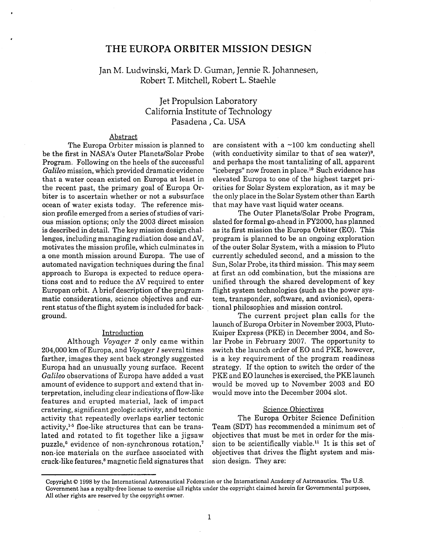## THE **EUROPA** ORBITER MISSION DESIGN

Jan M. Ludwinski, Mark D. Guman, Jennie R. Johannesen, Robert T. Mitchell, Robert L. Staehle

# Jet Propulsion Laboratory California Institute of Technology Pasadena , Ca. USA

## Abstract

The Europa Orbiter mission is planned to be the first in NASA's Outer Planets/Solar Probe Program. Following on the heels of the successful *Galileo* mission, which provided dramatic evidence that a water ocean existed on Europa at least in the recent past, the primary goal of Europa Orbiter is to ascertain whether or not a subsurface ocean of water exists today. The reference mission profile emerged from a series of studies of various mission options; only the 2003 direct mission is described in detail. The key mission design challenges, including managing radiation dose and  $\Delta V$ , motivates the mission profile, which culminates in a one month mission around Europa. The use of automated navigation techniques during the final approach to Europa is expected to reduce operations cost and to reduce the  $\Delta V$  required to enter Europan orbit. A brief description of the programmatic considerations, science objectives and current status of the flight system is included for background.

#### Introduction

Although *Voyager 2* only came within 204,000 km of Europa, and *Voyager I* several times farther, images they sent back strongly suggested Europa had an unusually young surface. Recent *Galileo* observations of Europa have added a vast amount of evidence to support and extend that interpretation, including clear indications of flow-like features and erupted material, lack of impact cratering, significant geologic activity, and tectonic activity that repeatedly overlaps earlier tectonic activity,<sup>1-5</sup> floe-like structures that can be translated and rotated to fit together like a jigsaw puzzle, $6$  evidence of non-synchronous rotation, $7$ non-ice materials on the surface associated with crack-like features,<sup>8</sup> magnetic field signatures that are consistent with a  $~100$  km conducting shell (with conductivity similar to that of sea water)<sup>9</sup>, and perhaps the most tantalizing of all, apparent "icebergs" now frozen in place.<sup>10</sup> Such evidence has elevated Europa to one of the highest target priorities for Solar System exploration, as it may be the only place in the Solar System other than Earth that may have vast liquid water oceans.

The Outer Planets/Solar Probe Program, slated for formal go-ahead in FY2000, has planned as its first mission the Europa Orbiter (EO). This program is planned to be an ongoing exploration of the outer Solar System, with a mission to Pluto currently scheduled second, and a mission to the Sun, Solar Probe, its third mission. This may seem at first an odd combination, but the missions are unified through the shared development of key flight system technologies (such as the power system, transponder, software, and avionics), operational philosophies and mission control.

The current project plan calls for the launch of Europa Orbiter in November 2003, Pluto-Kuiper Express (PKE) in December 2004, and Solar Probe in February 2007. The opportunity to switch the launch order of EO and PKE, however, is a key requirement of the program readiness strategy. If the option to switch the order of the PKE and EO launches is exercised, the PKE launch would be moved up to November 2003 and EO would move into the December 2004 slot.

#### Science Obiectives

The Europa Orbiter Science Definition Team (SDT) has recommended a minimum set of objectives that must be met in order for the mission to be scientifically viable." It is this set of objectives that drives the flight system and mission design. They are:

Copyright *0* 1998 by the International Astronautical Federation or the International Academy of Astronautics. The **US.**  Government **has** a royalty-free license to exercise all rights under the copyright claimed herein for Governmental purposes, All other rights are reserved by the copyright owner.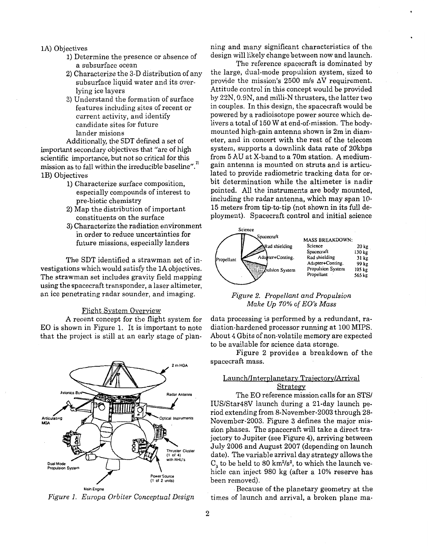<span id="page-3-0"></span>1A) Objectives

- 1) Determine the presence or absence of a subsurface ocean
- 2) Characterize the 3-D distribution of any subsurface liquid water and its overlying ice layers
- 3) Understand the formation of surface features including sites of recent or current activity, and identify candidate sites for future lander misions

Additionally, the SDT defined a set of important secondary objectives that "are of high<br>scientific importance, but not so critical for this scientific importance, but not *so* critical for this **<sup>11</sup>** mission as to fall within the irreducible baseline". 1B) Objectives

- 1) Characterize surface composition, especially compounds of interest to pre-biotic chemistry
- 2) Map the distribution of important constituents on the surface
- 3) Characterize the radiation environment in order to reduce uncertainties for future missions, especially landers

The SDT identified a strawman set of investigations which would satisfy the 1A objectives. The strawman set includes gravity field mapping using the spacecraft transponder, a laser altimeter, an ice penetrating radar sounder, and imaging.

#### Flight Svstem Overview

A recent concept for the flight system for EO is shown in Figure 1. It is important to note that the project is still at an early stage of plan-



*Figure 1. Europa Orbiter Conceptual Design* 

ning and many significant characteristics of the design will likely change between now and launch.

The reference spacecraft is dominated by the large, dual-mode propulsion system, sized to provide the mission's 2500 m/s  $\Delta V$  requirement. Attitude control in this concept would be provided by 22N, 0.9N, and milli-N thrusters, the latter two in couples. In this design, the spacecraft would be powered by a radioisotope power source which delivers a total of 150 W at end-of-mission. The bodymounted high-gain antenna shown is2m in diameter, and in concert with the rest of the telecom system, supports a downlink data rate of 20kbps from **5** AU at X-band to a 70m station. A mediumgain antenna is mounted on struts and is articulated to provide radiometric tracking data for orbit determination while the altimeter is nadir pointed. All the instruments are body mounted, including the radar antenna, which may span 10- 15 meters from tip-to-tip (not shown in its full deployment). Spacecraft control and initial science



### *Figure 2. Propellant and Propulsion Make Up 70% of EO'S Mass*

data processing is performed by a redundant, radiation-hardened processor running at 100 MIPS. About **4** Gbits of non-volatile memory are expected to be available for science data storage.

Figure 2 provides a breakdown of the spacecraft mass.

#### Launch/Interplanetary Trajectory/Arrival Strategy

The EO reference mission calls for an STS/ IUS/Star48V launch during a 21-day launch period extending from 8-November-2003 through 28- November-2003. [Figure 3](#page-4-0) defines the major mission phases. The spacecraft will take a direct trajectory to Jupiter (see Figure **4),** arriving between July 2006 and August 2007 (depending on launch date). The variable arrival day strategy allows the  $C<sub>3</sub>$  to be held to 80 km<sup>2</sup>/s<sup>2</sup>, to which the launch vehicle can inject 980 kg (after a 10% reserve has been removed).

Because of the planetary geometry at the times of launch and arrival, a broken plane ma-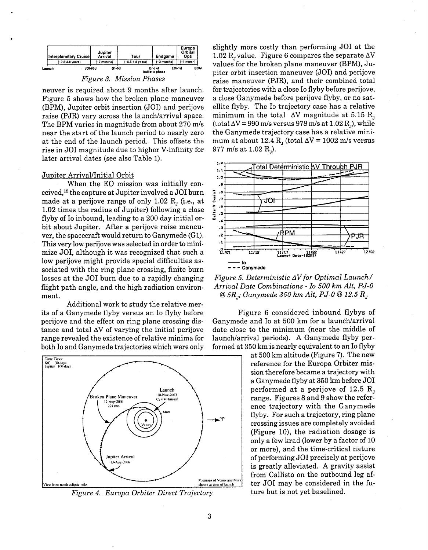<span id="page-4-0"></span>

*Figure 3. Mission Phases* 

neuver is required about 9 months after launch. Figure **5** shows how the broken plane maneuver (BPM), Jupiter orbit insertion (JOI) and perijove raise (PJR) vary across the launch/arrival space. The BPM varies in magnitude from about 270 m/s near the start of the launch period to nearly zero at the end of the launch period. This offsets the rise in JOI magnitude due to higher V-infinity for later arrival dates (see also Table 1).

#### Jupiter Arrival/Initial Orbit

When the EO mission was initially conceived.<sup>12</sup> the capture at Jupiter involved a JOI burn made at a perijove range of only 1.02 R, (i.e., at  $1.02$  times the radius of Jupiter) following a close flyby of Io inbound, leading to a 200 day initial orbit about Jupiter. After a perijove raise maneuver, the spacecraft would return to Ganymede (Gl). This very low perijove was selected in order to minimize JOI, although it was recognized that such a low perijove might provide special difficulties associated with the ring plane crossing, finite burn losses at the JOI burn due to a rapidly changing flight path angle, and the high radiation environment.

Additional work to study the relative merits of a Ganymede flyby versus an Io flyby before perijove and the effect on ring plane crossing distance and total  $\Delta V$  of varying the initial perijove range revealed the existence of relative minima for both Io and Ganymede trajectories which were only



*Figure 4. Europa Orbiter Direct Trajectory* 

slightly more costly than performing JOI at the 1.02 R, value. [Figure](#page-6-0) 6 compares the separate  $\Delta V$ values for the broken plane maneuver (BPM), Jupiter orbit insertion maneuver (JOI) and perijove raise maneuver (PJR), and their combined total for trajectories with a close Io flyby before perijove, a close Ganymede before perijove flyby, or no satellite flyby. The Io trajectory case has a relative minimum in the total  $\Delta V$  magnitude at 5.15 R, (total  $\Delta V = 990$  m/s versus 978 m/s at 1.02 R<sub>1</sub>), while the Ganymede trajectory case has a relative minimum at about 12.4 R, (total  $\Delta V = 1002$  m/s versus 977 m/s at  $1.02$  R<sub>1</sub>).



*Figure 5. Deterministic AV for Optimal Launch/ Arrival Date Combinations* - *Io 500 km Alt, PJ-0*  @ *5RJ; Ganymede 35.0 km Alt, PJ-0* @ *12.5 RJ* 

[Figure](#page-6-0) *6* considered inbound flybys of Ganymede and Io at 500 km for a launch/arrival date close to the minimum (near the middle of launchlarrival periods). A Ganymede flyby performed at 350 km is nearly equivalent to an Io flyby

> at 500 km altitude (Figure **7).** The new reference for the Europa Orbiter mission therefore became a trajectory with a Ganymede flyby at 350 km before JOI performed at a perijove of 12.5 R, range. [Figures](#page-7-0) *8* and 9 show the reference trajectory with the Ganymede flyby. For such a trajectory, ring plane crossing issues are completely avoided (Figure 10), the radiation dosage is only a few krad (lower by a factor of 10 or more), and the time-critical nature of performing JOI precisely at perijove is greatly alleviated. **A** gravity assist from Callisto on the outbound leg after JOI may be considered in the future but is not yet baselined.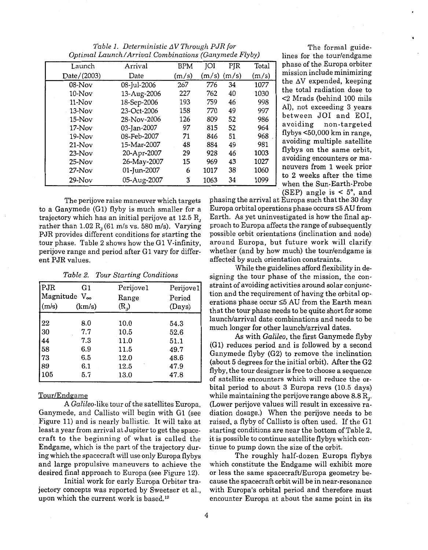Table *1.* Deterministic *AV* Through *PJR* for Optimal Launch/Arrival Combinations (Ganymede *Flyby)* 

<span id="page-5-0"></span>

| Launch      | Arrival     | <b>BPM</b> | <b>JOI</b> | PJR   | Total |
|-------------|-------------|------------|------------|-------|-------|
| Date/(2003) | Date        | (m/s)      | (m/s)      | (m/s) | (m/s) |
| $08-Nov$    | 08-Jul-2006 | 267        | 776        | 34    | 1077  |
| $10-Nov$    | 13-Aug-2006 | 227        | 762        | 40    | 1030  |
| $11-Nov$    | 18-Sep-2006 | 193        | 759        | 46    | 998   |
| $13-Nov$    | 23-Oct-2006 | 158        | 770        | 49    | 997   |
| $15-Nov$    | 28-Nov-2006 | 126        | 809        | 52    | 986   |
| $17-Nov$    | 03-Jan-2007 | 97         | 815        | 52    | 964   |
| $19-Nov$    | 08-Feb-2007 | 71         | 846        | 51    | 968   |
| $21-Nov$    | 15-Mar-2007 | 48         | 884        | 49    | 981   |
| $23-Nov$    | 20-Apr-2007 | 29         | 928        | 46    | 1003  |
| $25-Nov$    | 26-May-2007 | 15         | 969        | 43    | 1027  |
| $27-Nov$    | 01-Jun-2007 | 6          | 1017       | 38    | 1060  |
| $29-Nov$    | 05-Aug-2007 | 3          | 1063       | 34    | 1099  |

The perijove raise maneuver which targets to a Ganymede (Gl) flyby is much smaller for a trajectory which has an initial perijove at 12.5 R, rather than  $1.02$  R, (61 m/s vs. 580 m/s). Varying PJR provides different conditions for starting the tour phase. Table 2 shows how the G1 V-infinity, perijove range and period after G1 vary for different PJR values.

| PJR   | G <sub>1</sub>           | Perijove1 | Perijove1 |
|-------|--------------------------|-----------|-----------|
|       | Magnitude V <sub>∞</sub> | Range     | Period    |
| (m/s) | (km/s)                   | $(R_1)$   | (Days)    |
| 22    | 8.0                      | 10.0      | 54.3      |
| 30    | 7.7                      | 10.5      | 52.6      |
| 44    | 7.3                      | 11.0      | 51.1      |
| 58    | 6.9                      | 11.5      | 49.7      |
| 73    | 6.5                      | 12.0      | 48.6      |
| 89    | 6.1                      | 12.5      | 47.9      |
| 105   | 5.7                      | 13.0      | 47.8      |

Table 2. Tour Starting Conditions

#### Tour/Endgame

A Galileo-like tour of the satellites Europa, Ganymede, and Callisto will begin with G1 (see Figure 11) and is nearly ballistic. It will take at least a year fom arrival at Jupiter to get the spacecraft to the beginning of what is called the Endgame, which is the part of the trajectory during which the spacecraft will use only Europa flybys and large propulsive maneuvers to achieve the desired final approach to Europa (see Figure 12).

Initial work for early Europa Orbiter trajectory concepts was reported by Sweetser et al., upon which the current work is based.<sup>12</sup>

The formal guidelines for the tour/endgame phase of the Europa orbiter mission include minimizing the AV expended, keeping the total radiation dose to <2 Mrads (behind 100 mils [Al\), not exceeding 3](#page-4-0) years between JOI and EOI, avoiding non-targeted flybys <50,000 km in range, avoiding multiple satellite flybys on the same orbit, avoiding encounters or maneuvers from l week prior to 2 weeks after the time when the Sun-Earth-Probe  $(SEP)$  angle is  $\leq 5^\circ$ , and

phasing the arrival at Europa such that the 30 day Europa orbital operations phase occurs <5 AU from Earth. As yet uninvestigated is how the final approach to Europa affects the range of subsequently possible orbit orientations (inclination and node) around Europa, but future work will clarify whether (and by how much) the tour/endgame is affected by such orientation constraints.

While the guidelines afford flexibility in designing the tour phase of the mission, the constraint of avoiding activities around solar conjunction and the requirement of having the orbital operations phase occur **15** AU from the Earth mean that the tour phase needs to be quite short for some launchlarrival date combinations and needs to be much longer for other launch/arrival dates.

**As** with Galileo, the first Ganymede flyby (Gl) reduces period and is followed by a second Ganymede flyby (G2) to remove the inclination (about **5** degrees for the initial orbit). After the G2 flyby, the tour designer isfree to choose a sequence of satellite encounters which will reduce the orbital period to about 3 Europa revs (10.5 days) while maintaining the perijove range above  $8.8 \, \text{R}_\text{J}$ . (Lower perijove values will result in excessive radiation dosage.) When the perijove needs to be raised, a flyby of Callisto is often used. If the G1 [starting conditions are near the bottom of Table 2,](#page-3-0) it is possible to continue satellite flybys which continue to pump down the size of the orbit.

The roughly half-dozen Europa flybys which constitute the Endgame will exhibit more or less the same spacecraft/Europa geometry because the spacecraft orbit will be in near-resonance with Europa's orbital period and therefore must encounter Europa at about the same point in its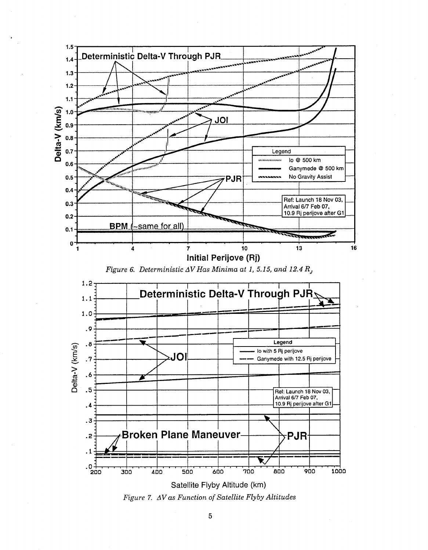<span id="page-6-0"></span>

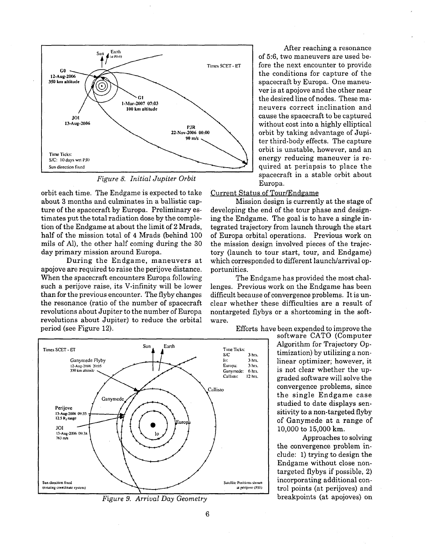<span id="page-7-0"></span>

*Figure 8. Initial Jupiter Orbit* 

orbit each time. The Endgame is expected to take about **3** months and culminates in a ballistic capture of the spacecraft by Europa. Preliminary estimates put the total radiation dose by the completion of the Endgame at about the limit of **2** Mrads, half of the mission total of **4** Mrads (behind 100 mils of Al), the other half coming during the 30 day primary mission around Europa.

During the Endgame, maneuvers at apojove are required to raise the perijove distance. When the spacecraft encounters Europa following such a perijove raise, its V-infinity will be lower than for the previous encounter. The flyby changes the resonance (ratio of the number of spacecraft revolutions about Jupiter to the number of Europa revolutions about Jupiter) to reduce the orbital period (see [Figure 12\).](#page-10-0)

After reaching a resonance of *56,* two maneuvers are used before the next encounter to provide the conditions for capture of the spacecraft by Europa. One maneuver is at apojove and the other near the desired line of nodes. These maneuvers correct inclination and cause the spacecraft to be captured without cost into a highly elliptical orbit by taking advantage of Jupiter third-body effects. The capture orbit is unstable, however, and an energy reducing maneuver is required at periapsis to place the spacecraft in a stable orbit about Europa.

#### Current Status of Tour/Endgame

Mission design is currently at the stage of developing the end of the tour phase and designing the Endgame. The goal is to have a single integrated trajectory from launch through the start of Europa orbital operations. Previous work on the mission design involved pieces of the trajectory (launch to tour start, tour, and Endgame) which corresponded to different launch/arrival opportunities.

The Endgame has provided the most challenges. Previous work on the Endgame has been difficult because of convergence problems. It is unclear whether these difficulties are a result of nontargeted flybys or a shortcoming in the software.



*Figure* **9.** *Arrival Day Geometry* 

Efforts have been expended to improve the

software CATO (Computer Algorithm for Trajectory Optimization) by utilizing a nonlinear optimizer; however, it is not clear whether the upgraded software will solve the convergence problems, since the single Endgame case studied to date displays sensitivity to a non-targeted flyby of Ganymede at a range of 10,000 to 15,000 km.

Approaches to solving the convergence problem include: 1) trying to design the Endgame without close nontargeted flybys if possible, **2)**  incorporating additional control points (at perijoves) and breakpoints (at apojoves) on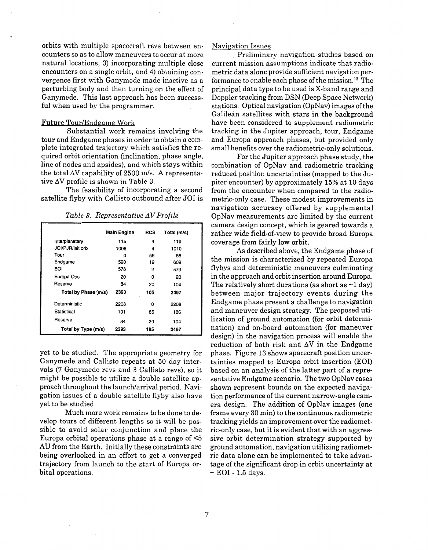<span id="page-8-0"></span>orbits with multiple spacecraft revs between encounters so as to allow maneuvers to occur at more natural locations, **3)** incorporating multiple close encounters on a single orbit, and **4)** obtaining convergence first with Ganymede made inactive as a perturbing body and then turning on the effect of Ganymede. This last approach has been successful when used by the programmer.

#### Future Tour/Endgame Work

Substantial work remains involving the tour and Endgame phases in order to obtain a complete integrated trajectory which satisfies the required orbit orientation (inclination, phase angle, line of nodes and apsides), and which stays within the total **AV** capability of 2500 m/s. **A** representative **AV** [profile is shown in Table](#page-4-0) **3.** 

The feasibility of incorporating a second satellite flyby with Callisto outbound after JOI is

|  | Table 3. Representative AV Profile |
|--|------------------------------------|
|--|------------------------------------|

|                      | Main Engine | <b>RCS</b> | Total (m/s) |
|----------------------|-------------|------------|-------------|
| Interplanetary       | 115         | 4          | 119         |
| JOI/PJR/Init orb     | 1006        | 4          | 1010        |
| Tour                 | ٥           | 56         | 56          |
| Endgame              | 590         | 19         | 609         |
| EOI                  | 578         | 2          | 579         |
| Europa Ops           | 20          | 0          | 20          |
| Reserve              | 84          | 20         | 104         |
| Total by Phase (m/s) | 2393        | 105        | 2497        |
| Deterministic        | 2208        | 0          | 2208        |
| Statistical          | 101         | 85         | 186         |
| Reserve              | 84          | 20         | 104         |
| Total by Type (m/s)  | 2393        | 105        | 2497        |

yet to be studied. The appropriate geometry for Ganymede and Callisto repeats at **50** day intervals (7 Ganymede revs and **3** Callisto revs), so it might be possible to utilize a double satellite approach throughout the launch/arrival period. Navigation issues of a double satellite flyby also have yet to be studied.

Much more work remains to be done to develop tours of different lengths so it will be possible to avoid solar conjunction and place the Europa orbital operations phase at a range of **<5 AU** from the Earth. Initially these constraints are being overlooked in an effort to get a converged trajectory from launch to the start of Europa orbital operations.

#### Navigation Issues

Preliminary navigation studies based on current mission assumptions indicate that radiometric data alone provide sufficient navigation performance to enable each phase of the mission.13 The principal data type to be used is X-band range and Doppler tracking from DSN (Deep Space Network) stations. Optical navigation (OpNav) images of the Galilean satellites with stars in the background have been considered to supplement radiometric tracking in the Jupiter approach, tour, Endgame and Europa approach phases, but provided only small benefits over the radiometric-only solutions.

For the Jupiter approach phase study, the combination of OpNav and radiometric tracking reduced position uncertainties (mapped to the Ju[piter encounter\) by approximately](#page-11-0) **15%** at **10** days from the encounter when compared to the radiometric-only case. These modest improvements in navigation accuracy offered by supplemental OpNav measurements are limited by the current camera design concept, which is geared towards a rather wide field-of-view to provide broad Europa coverage from fairly low orbit.

As described above, the Endgame phase of the mission is characterized by repeated Europa flybys and deterministic maneuvers culminating in the approach and orbit insertion around Europa. The relatively short durations (as short as **-1** day) between major trajectory events during the Endgame phase present a challenge to navigation and maneuver design strategy. The proposed utilization of ground automation (for orbit determination) and on-board automation (for maneuver design) in the navigation process will enable the reduction of both risk and **AV** in the Endgame phase. Figure **13** shows spacecraft position uncertainties mapped to Europa orbit insertion (EOI) based on an analysis of the latter part of a representative Endgame scenario. The two OpNav cases shown represent bounds on the expected navigation performance of the current narrow-angle camera design. The addition of OpNav images (one frame every **30** min) to the continuous radiometric tracking yields an improvement over the radiometric-only case, but it is evident that with an aggressive orbit determination strategy supported by ground automation, navigation utilizing radiometric data alone can be implemented to take advantage of the significant drop in orbit uncertainty at - EO1 - **1.5** days.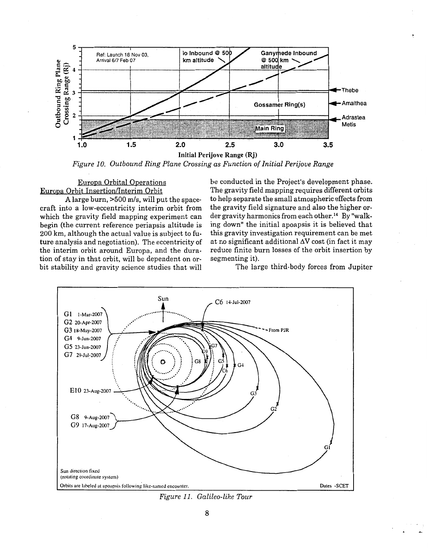<span id="page-9-0"></span>

*Figure 10. Outbound Ring Plane Crossing as Function of Initial Perijove Range* 

#### Europa Orbital Operations Europa Orbit Insertion/Interim Orbit

**A** large burn, >500 m/s, will put the spacecraft into a low-eccentricity interim orbit from which the gravity field mapping experiment can begin (the current reference periapsis altitude is 200 km, although the actual value is subject to future analysis and negotiation). The eccentricity of the interim orbit around Europa, and the duration of stay in that orbit, will be dependent on orbit stability and gravity science studies that will be conducted in the Project's development phase. The gravity field mapping requires different orbits to help separate the small atmospheric effects from the gravity field signature and also the higher order gravity harmonics from each other.14 By "walking down" the initial apoapsis it is believed that this gravity investigation requirement can bemet at no significant additional **AV** cost (in fact it may reduce finite burn losses of the orbit insertion by segmenting it).

The large third-body forces from Jupiter



*Figure 11. Galileo-like Tour*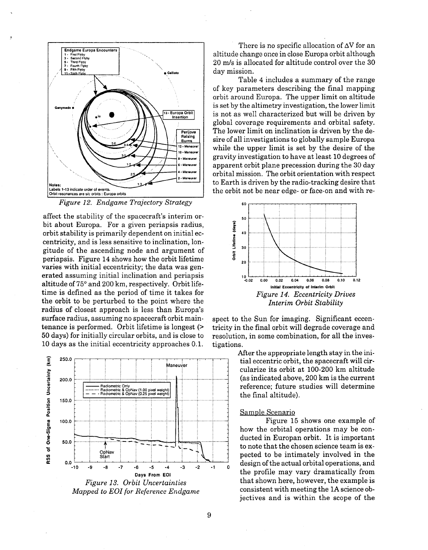<span id="page-10-0"></span>

*Figure 12. Endgame Trajectory Strategy* 

affect the stability of the spacecraft's interim orbit about Europa. For a given periapsis radius, orbit stability is primarily dependent on initial eccentricity, and is less sensitive to inclination, longitude of the ascending node and argument of periapsis. Figure **14** shows how the orbit lifetime varies with initial eccentricity; the data was generated assuming initial inclination and periapsis altitude of *'75"* and 200 km, respectively. Orbit lifetime is defined as the period of time it takes for the orbit to be perturbed to the point where the radius of closest approach is less than Europa's surface radius, assuming no spacecraft orbit maintenance is performed. Orbit lifetime is longest (> 50 days) for initially circular orbits, and is close to 10 days as the initial eccentricity approaches 0.1.



There is no specific allocation of **AV** for an altitude change once in close Europa orbit although 20 m/s is allocated for altitude control over the 30 day mission.

Table **4** includes a summary of the range of key parameters describing the final mapping orbit around Europa. The upper limit on altitude is set by the altimetry investigation, the lower limit is not as well characterized but will be driven by global coverage requirements and orbital safety. The lower limit on inclination is driven by the desire of all investigations to globally sample Europa while the upper limit is set by the desire of the gravity investigation to have at least 10 degrees of apparent orbit plane precession during the 30 day orbital mission. The orbit orientation with respect to Earth is driven by the radio-tracking desire that the orbit not be near edge- or face-on and with re-



spect to the Sun for imaging. Significant eccentricity in the final orbit will degrade coverage and resolution, in some combination, for all the investigations.

> After the appropriate length stay in the initial eccentric orbit, the spacecraft will circularize its orbit at 100-200 km altitude (as indicated above, 200 km is the current reference; future studies will determine the final altitude).

#### Sample Scenario

Figure **15** shows one example of how the orbital operations may be conducted in Europan orbit. It is important to note that the chosen science team is expected to be intimately involved in the design of the actual orbital operations, and the profile may vary dramatically from that shown here, however, the example is consistent with meeting the **1A** science objectives and is within the scope of the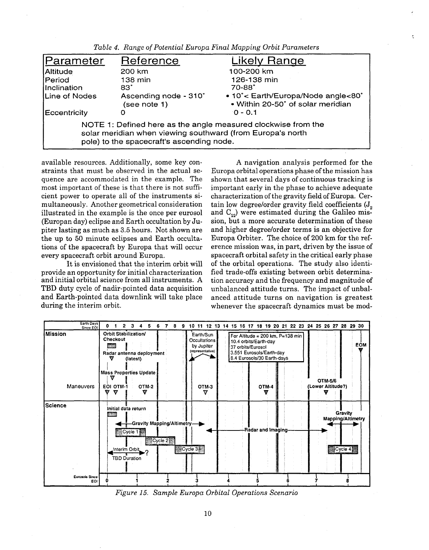<span id="page-11-0"></span>

| Parameter           | Reference                                                                                               | Likely Range                                                            |
|---------------------|---------------------------------------------------------------------------------------------------------|-------------------------------------------------------------------------|
| Altitude            | 200 km                                                                                                  | 100-200 km                                                              |
| Period              | 138 min                                                                                                 | 126-138 min                                                             |
| Inclination         | 83°                                                                                                     | 70-88°                                                                  |
| Line of Nodes       | Ascending node - 310°<br>(see note 1)                                                                   | • 10°< Earth/Europa/Node angle<80°<br>• Within 20-50° of solar meridian |
| <b>Eccentricity</b> |                                                                                                         | $-0 - 0.1$                                                              |
|                     | solar meridian when viewing southward (from Europa's north<br>pole) to the spacecraft's ascending node. | NOTE 1: Defined here as the angle measured clockwise from the           |

*Table 4. Range of Potential Europa Final Mapping Orbit Parameters* 

available resources. Additionally, some key constraints that must be observed in the actual sequence are accommodated in the example. The most important of these is that there is not sufficient power to operate all of the instruments simultaneously. Another geometrical consideration illustrated in the example is the once per eurosol (Europan day) eclipse and Earth occultation by Jupiter lasting as much as **3.5** hours. Not shown are the up to 50 minute eclipses and Earth occultations of the spacecraft by Europa that will occur every spacecraft orbit around Europa.

It is envisioned that the interim orbit will provide an opportunity for initial characterization and initial orbital science from all instruments. **A**  TBD duty cycle of nadir-pointed data acquisition and Earth-pointed data downlink will take place during the interim orbit.

**A** navigation analysis performed for the Europa orbital operations phase of the mission has shown that several days of continuous tracking is important early in the phase to achieve adequate characterization of the gravity field of Europa. Certain low degree/order gravity field coefficients (J, and  $C_{22}$ ) were estimated during the Galileo mission, but a more accurate determination of these and higher degreelorder terms is an objective for Europa Orbiter. The choice of 200 km for the reference mission was, in part, driven by the issue of spacecraft orbital safety in the critical early phase of the orbital operations. The study also identified trade-offs existing between orbit determination accuracy and the frequency and magnitude of unbalanced attitude turns. The impact of unbalanced attitude turns on navigation is greatest whenever the spacecraft dynamics must be mod-

| Earth Days<br>Since EOI | 6<br>8<br>9<br>0<br>2<br>7                                                                            | 10                                                          |                                                                                                                                            | 11 12 13 14 15 16 17 18 19 20 21 22 23 24 25 26 27 28 29 30 |
|-------------------------|-------------------------------------------------------------------------------------------------------|-------------------------------------------------------------|--------------------------------------------------------------------------------------------------------------------------------------------|-------------------------------------------------------------|
| Mission                 | Orbit Stabilization/<br>Checkout<br>Radar antenna deployment<br>(latest)                              | Earth/Sun<br>Occultations<br>by Jupiter<br>(representative) | For Altitude = 200 km, $P=138$ min<br>10.4 orbits/Earth-day<br>37 orbits/Eurosol<br>3.551 Eurosols/Earth-day<br>8.4 Eurosols/30 Earth-days | <b>EÓM</b>                                                  |
| Maneuvers               | Mass Properties Update<br>EOI OTM-1<br>OTM-2<br>v<br>w<br>w                                           | OTM-3<br>v                                                  | OTM-4                                                                                                                                      | OTM-5/6<br>(Lower Altitude?)                                |
| <b>Science</b>          | Initial data return<br>-Gravity Mapping/Altimetry-<br>Cycle 2<br>Interim Orbit<br><b>TBD Duration</b> | $C$ ycle 3                                                  | -Radar and Imaging                                                                                                                         | Gravity<br>Mapping/Altimetry<br>Cycle 4                     |
|                         |                                                                                                       |                                                             |                                                                                                                                            |                                                             |
| Eurosols Since<br>EOI   |                                                                                                       |                                                             |                                                                                                                                            |                                                             |

*Figure 15. Sample Europa Orbital Operations Scenario*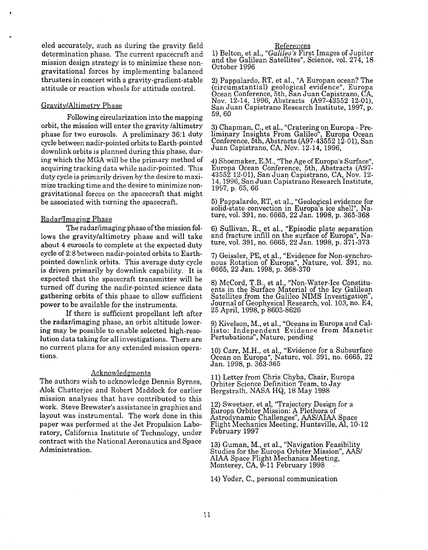<span id="page-12-0"></span>eled accurately, such as during the gravity field determination phase. The current spacecraft and mission design strategy is to minimize these nongravitational forces by implementing balanced thrusters in concert with a gravity-gradient-stable attitude or reaction wheels for attitude control.

#### GravitvlAltimetrv Phase

Following circularization into the mapping orbit, the mission will enter the gravity /altimetry phase for two eurosols. A preliminary 36:l duty cycle between nadir-pointed orbits to Earth-pointed downlink orbits is planned during this phase, during which the MGA will be the primary method of acquiring tracking data while nadir-pointed. This duty cycle is primarily driven by the desire to maximize tracking time and the desire to minimize nongravitational forces on the spacecraft that might be associated with turning the spacecraft.

#### Radar/Imaging Phase

The radar/imaging phase of the mission follows the gravitylaltimetry phase and will take about 4 eurosols to complete at the expected duty cycle of 2:8 between nadir-pointed orbits to Earth- 7) Geissler, PE, et al., "Evidence for Non-synchropointed downlink orbits. This average duty cycle is driven primarily by downlink capability. It is expected that the spacecraft transmitter will be turned off during the nadir-pointed science data gathering orbits of this phase to allow sufficient power to be available for the instruments.

If there is sufficient propellant left after the radarlimaging phase, an orbit altitude lowering may be possible to enable selected high-resolution data taking for all investigations. There are no current plans for any extended mission operations.

#### Acknowledements

The authors wish to acknowledge Dennis Bymes, Alok Chatterjee and Robert Maddock for earlier mission analyses that have contributed to this work. Steve Brewster's assistance in graphics and layout was instrumental. The work done in this paper was performed at the Jet Propulsion Laboratory, California Institute of Technology, under contract with the National Aeronautics and Space 13) Guman, M., et al., "Navigation Feasibility Administration.

#### References

1) Belton, et al., "Galileo's First Images of Jupiter and the Galilean Satellites", Science, vol. 274, 18 October 1996

2) Pappalardo, RT, et al., "A Europan ocean? The (circumstantial) geological evidence", Europa<br>Ocean Conference, 5th, San Juan Capistrano, CA,<br>Nov. 12-14, 1996, Abstracts (A97-43552 12-01), Nov. 12-14, 1996, Abstracts (A97-43552 12-01),<br>San Juan Capistrano Research Institute, 1997, p.<br>59, 60 l., "A Europa<br>gical eviden<br>San Juan Ca

3) Chapman, C., et al., "Cratering on Europa - Preliminary Insights From Galileo", Europa Ocean Conference, 5th, Abstracts (A97-43552 12-01), San Juan Capistrano, CA, Nov. 12-14, 1996,

4) Shoemaker, E.M., "The Age of Europa's Surface", Europa Ocean Conference, 5th, Abstracts (A97- 43552 12-01), San Juan Capistrano, CA, Nov. 12- 14, 1996, San Juan Capistrano Research Institute, 1997, p. 65, 66

5) Pappalardo, RT, et al., "Geological evidence for solid-state convection in Europa's ice shell", Nature, vol. 391, no. 6665, 22 Jan. 1998, p. 365-368

6) Sullivan, R., et al., "Episodic plate separation and fracture infill on the surface of Europa", Nature, vol. 391, no. 6665, 22 Jan. 1998, p. 371-373

7) Geissler, PE, et al., "Evidence for Non-synchro- nous Rotation of Europa", Nature, vol. 391, no. 6665,22 Jan. 1998, p. 368-370

8) McCord, T.B., et al., "Non-Water-Ice Constituents in the Surface Material of the Icy Galilean Satellites from the Galileo NIMS Investigation", Journal of Geophysical Research, vol. 103, no. E4, 25 April, 1998, p 8603-8626

9) Kivelson, M., et al., "Oceans in Europa and Cal- listo: Independent Evidence from Manetic Pertubations", Nature, pending

10) Carr, M.H., et al., "Evidence for a Subsurface Ocean on Europa", Nature, vol. 391, no. 6665, 22 Jan. 1998, p. 363-365

11) Letter from Chris Chyba, Chair, Europa Orbiter Science Definition Team, to Jay Bergstralh, NASA HQ, 18 May 1998

12) Sweetser, et al, "Trajectory Design for a Europa Orbiter Mission: A Plethora of Astrodynamic Challenges", AAS/AIAA Space<br>Flight Mechanics Meeting, Huntsville, Al, 10-12 February 1997

Studies for the Europa Orbiter Mission", AAS/ AIAA Space Flight Mechanics Meeting, Monterey, CA, 9-11 February 1998

14) Yoder, C., personal communication